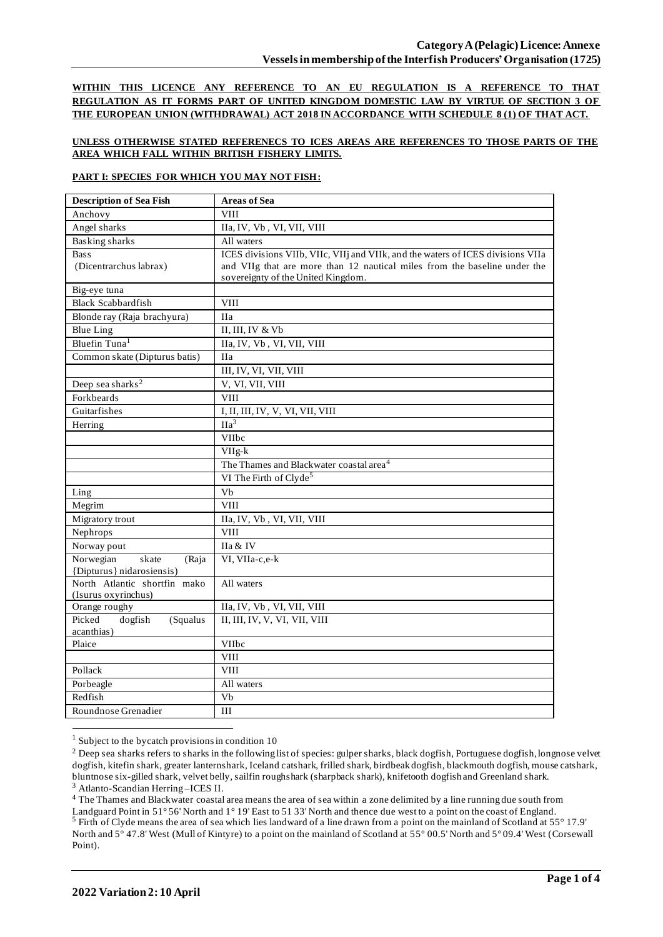**WITHIN THIS LICENCE ANY REFERENCE TO AN EU REGULATION IS A REFERENCE TO THAT REGULATION AS IT FORMS PART OF UNITED KINGDOM DOMESTIC LAW BY VIRTUE OF SECTION 3 OF THE EUROPEAN UNION (WITHDRAWAL) ACT 2018 IN ACCORDANCE WITH SCHEDULE 8 (1) OF THAT ACT.**

#### **UNLESS OTHERWISE STATED REFERENECS TO ICES AREAS ARE REFERENCES TO THOSE PARTS OF THE AREA WHICH FALL WITHIN BRITISH FISHERY LIMITS.**

#### **PART I: SPECIES FOR WHICH YOU MAY NOT FISH:**

| <b>Description of Sea Fish</b>              | <b>Areas of Sea</b>                                                             |
|---------------------------------------------|---------------------------------------------------------------------------------|
| Anchovy                                     | <b>VIII</b>                                                                     |
| Angel sharks                                | IIa, IV, Vb, VI, VII, VIII                                                      |
| <b>Basking sharks</b>                       | All waters                                                                      |
| <b>Bass</b>                                 | ICES divisions VIIb, VIIc, VIIj and VIIk, and the waters of ICES divisions VIIa |
| (Dicentrarchus labrax)                      | and VIIg that are more than 12 nautical miles from the baseline under the       |
|                                             | sovereignty of the United Kingdom.                                              |
| Big-eye tuna                                |                                                                                 |
| <b>Black Scabbardfish</b>                   | <b>VIII</b>                                                                     |
| Blonde ray (Raja brachyura)                 | <b>IIa</b>                                                                      |
| <b>Blue Ling</b>                            | II, III, IV & Vb                                                                |
| Bluefin Tuna <sup>1</sup>                   | IIa, IV, Vb, VI, VII, VIII                                                      |
| Common skate (Dipturus batis)               | <b>IIa</b>                                                                      |
|                                             | III, IV, VI, VII, VIII                                                          |
| Deep sea sharks <sup>2</sup>                | V, VI, VII, VIII                                                                |
| Forkbeards                                  | <b>VIII</b>                                                                     |
| Guitarfishes                                | I, II, III, IV, V, VI, VII, VIII                                                |
| Herring                                     | $\overline{Ha^3}$                                                               |
|                                             | VIIbc                                                                           |
|                                             | $VIIg-k$                                                                        |
|                                             | The Thames and Blackwater coastal area <sup>4</sup>                             |
|                                             | VI The Firth of Clyde <sup>5</sup>                                              |
| Ling                                        | Vb                                                                              |
| Megrim                                      | <b>VIII</b>                                                                     |
| Migratory trout                             | IIa, IV, Vb, VI, VII, VIII                                                      |
| Nephrops                                    | <b>VIII</b>                                                                     |
| Norway pout                                 | IIa & IV                                                                        |
| Norwegian<br>skate<br>(Raja                 | VI, VIIa-c,e-k                                                                  |
| {Dipturus} nidarosiensis)                   |                                                                                 |
| North Atlantic shortfin mako                | All waters                                                                      |
| (Isurus oxyrinchus)                         |                                                                                 |
| Orange roughy                               | IIa, IV, Vb, VI, VII, VIII                                                      |
| Picked<br>dogfish<br>(Squalus<br>acanthias) | II, III, IV, V, VI, VII, VIII                                                   |
| Plaice                                      | VIIbc                                                                           |
|                                             | <b>VIII</b>                                                                     |
| Pollack                                     | <b>VIII</b>                                                                     |
| Porbeagle                                   | All waters                                                                      |
| Redfish                                     | Vb                                                                              |
|                                             |                                                                                 |
| Roundnose Grenadier                         | $\rm III$                                                                       |

 $1$  Subject to the bycatch provisions in condition 10

<sup>3</sup> Atlanto-Scandian Herring –ICES II.

<sup>4</sup> The Thames and Blackwater coastal area means the area of sea within a zone delimited by a line running due south from Landguard Point in 51° 56' North and 1° 19' East to 51 33' North and thence due west to a point on the coast of England. <sup>5</sup> Firth of Clyde means the area of sea which lies landward of a line drawn from a point on the mainland of Scotland at 55° 17.9' North and 5° 47.8' West (Mull of Kintyre) to a point on the mainland of Scotland at 55° 00.5' North and 5° 09.4' West (Corsewall Point).

<sup>&</sup>lt;sup>2</sup> Deep sea sharks refers to sharks in the following list of species: gulper sharks, black dogfish, Portuguese dogfish, longnose velvet dogfish, kitefin shark, greater lanternshark, Iceland catshark, frilled shark, birdbeak dogfish, blackmouth dogfish, mouse catshark, bluntnose six-gilled shark, velvet belly, sailfin roughshark (sharpback shark), knifetooth dogfish and Greenland shark.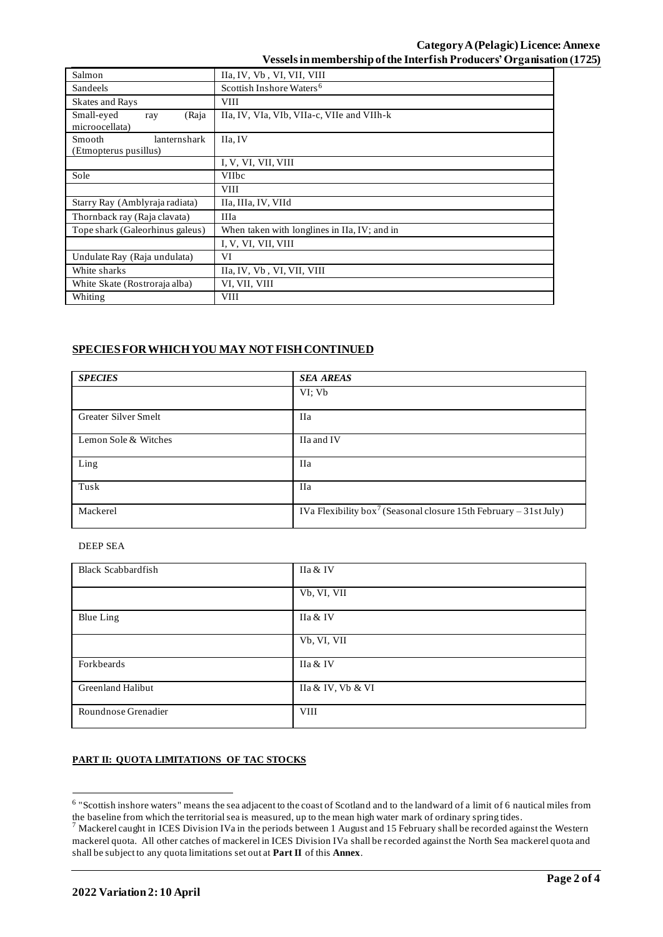| Salmon                                          | IIa, IV, Vb, VI, VII, VIII                   |  |  |  |
|-------------------------------------------------|----------------------------------------------|--|--|--|
| Sandeels                                        | Scottish Inshore Waters <sup>6</sup>         |  |  |  |
| <b>Skates and Rays</b>                          | <b>VIII</b>                                  |  |  |  |
| Small-eyed<br>(Raja<br>ray<br>microocellata)    | IIa, IV, VIa, VIb, VIIa-c, VIIe and VIIh-k   |  |  |  |
| Smooth<br>lanternshark<br>(Etmopterus pusillus) | IIa, IV                                      |  |  |  |
|                                                 | I, V, VI, VII, VIII                          |  |  |  |
| Sole                                            | <b>VIIbc</b>                                 |  |  |  |
|                                                 | <b>VIII</b>                                  |  |  |  |
| Starry Ray (Amblyraja radiata)                  | IIa, IIIa, IV, VIId                          |  |  |  |
| Thornback ray (Raja clavata)                    | <b>IIIa</b>                                  |  |  |  |
| Tope shark (Galeorhinus galeus)                 | When taken with longlines in IIa, IV; and in |  |  |  |
|                                                 | I, V, VI, VII, VIII                          |  |  |  |
| Undulate Ray (Raja undulata)                    | VI                                           |  |  |  |
| White sharks                                    | IIa, IV, Vb, VI, VII, VIII                   |  |  |  |
| White Skate (Rostroraja alba)                   | VI, VII, VIII                                |  |  |  |
| Whiting                                         | <b>VIII</b>                                  |  |  |  |

## **SPECIES FOR WHICH YOU MAY NOT FISH CONTINUED**

| <b>SPECIES</b>       | <b>SEA AREAS</b>                                                              |
|----------------------|-------------------------------------------------------------------------------|
|                      | VI: Vb                                                                        |
| Greater Silver Smelt | <b>IIa</b>                                                                    |
| Lemon Sole & Witches | IIa and IV                                                                    |
| Ling                 | <b>IIa</b>                                                                    |
| Tusk                 | <b>IIa</b>                                                                    |
| Mackerel             | IVa Flexibility box <sup>7</sup> (Seasonal closure 15th February – 31st July) |

### DEEP SEA

| <b>Black Scabbardfish</b> | IIa & IV          |
|---------------------------|-------------------|
|                           | Vb, VI, VII       |
| <b>Blue Ling</b>          | IIa & IV          |
|                           | Vb, VI, VII       |
| Forkbeards                | IIa & IV          |
| Greenland Halibut         | IIa & IV, Vb & VI |
| Roundnose Grenadier       | <b>VIII</b>       |

## **PART II: QUOTA LIMITATIONS OF TAC STOCKS**

<sup>&</sup>lt;sup>6</sup> "Scottish inshore waters" means the sea adjacent to the coast of Scotland and to the landward of a limit of 6 nautical miles from the baseline from which the territorial sea is measured, up to the mean high water mark of ordinary spring tides.

 $<sup>7</sup>$  Mackerel caught in ICES Division IVa in the periods between 1 August and 15 February shall be recorded against the Western</sup> mackerel quota. All other catches of mackerel in ICES Division IVa shall be recorded against the North Sea mackerel quota and shall be subject to any quota limitations set out at **Part II** of this **Annex**.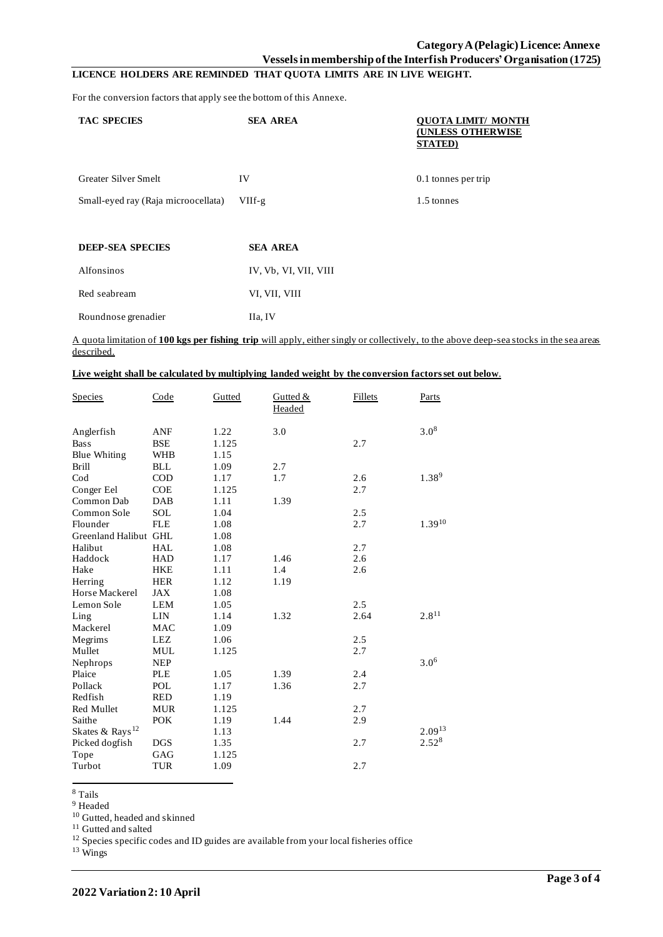# **Category A (Pelagic)Licence: Annexe**

**Vessels in membership of the Interfish Producers' Organisation (1725)**

# **LICENCE HOLDERS ARE REMINDED THAT QUOTA LIMITS ARE IN LIVE WEIGHT.**

For the conversion factors that apply see the bottom of this Annexe.

| <b>TAC SPECIES</b>                  | <b>SEA AREA</b>       | <b>OUOTA LIMIT/ MONTH</b><br><b>(UNLESS OTHERWISE</b><br><b>STATED</b> ) |
|-------------------------------------|-----------------------|--------------------------------------------------------------------------|
| <b>Greater Silver Smelt</b>         | IV                    | 0.1 tonnes per trip                                                      |
| Small-eyed ray (Raja microocellata) | $VIIf-g$              | 1.5 tonnes                                                               |
| <b>DEEP-SEA SPECIES</b>             | <b>SEA AREA</b>       |                                                                          |
| Alfonsinos                          | IV, Vb, VI, VII, VIII |                                                                          |
| Red seabream                        | VI, VII, VIII         |                                                                          |

Roundnose grenadier IIa, IV

#### A quota limitation of **100 kgs per fishing trip** will apply, either singly or collectively, to the above deep-sea stocks in the sea areas described.

|  |  |  | Live weight shall be calculated by multiplying landed weight by the conversion factors set out below. |
|--|--|--|-------------------------------------------------------------------------------------------------------|
|  |  |  |                                                                                                       |
|  |  |  |                                                                                                       |

| <b>Species</b>              | Code       | Gutted | Gutted &<br>Headed | Fillets | Parts             |
|-----------------------------|------------|--------|--------------------|---------|-------------------|
| Anglerfish                  | <b>ANF</b> | 1.22   | 3.0                |         | $3.0^{8}$         |
| <b>Bass</b>                 | <b>BSE</b> | 1.125  |                    | 2.7     |                   |
| <b>Blue Whiting</b>         | <b>WHB</b> | 1.15   |                    |         |                   |
| <b>Brill</b>                | <b>BLL</b> | 1.09   | 2.7                |         |                   |
| Cod                         | <b>COD</b> | 1.17   | 1.7                | 2.6     | 1.38 <sup>9</sup> |
| Conger Eel                  | <b>COE</b> | 1.125  |                    | 2.7     |                   |
| Common Dab                  | DAB        | 1.11   | 1.39               |         |                   |
| Common Sole                 | SOL        | 1.04   |                    | 2.5     |                   |
| Flounder                    | <b>FLE</b> | 1.08   |                    | 2.7     | $1.39^{10}$       |
| Greenland Halibut GHL       |            | 1.08   |                    |         |                   |
| Halibut                     | <b>HAL</b> | 1.08   |                    | 2.7     |                   |
| Haddock                     | <b>HAD</b> | 1.17   | 1.46               | 2.6     |                   |
| Hake                        | <b>HKE</b> | 1.11   | 1.4                | 2.6     |                   |
| Herring                     | <b>HER</b> | 1.12   | 1.19               |         |                   |
| Horse Mackerel              | <b>JAX</b> | 1.08   |                    |         |                   |
| Lemon Sole                  | <b>LEM</b> | 1.05   |                    | 2.5     |                   |
| Ling                        | <b>LIN</b> | 1.14   | 1.32               | 2.64    | $2.8^{11}$        |
| Mackerel                    | <b>MAC</b> | 1.09   |                    |         |                   |
| Megrims                     | LEZ        | 1.06   |                    | 2.5     |                   |
| Mullet                      | <b>MUL</b> | 1.125  |                    | 2.7     |                   |
| Nephrops                    | <b>NEP</b> |        |                    |         | $3.0^{6}$         |
| Plaice                      | <b>PLE</b> | 1.05   | 1.39               | 2.4     |                   |
| Pollack                     | POL        | 1.17   | 1.36               | 2.7     |                   |
| Redfish                     | <b>RED</b> | 1.19   |                    |         |                   |
| Red Mullet                  | <b>MUR</b> | 1.125  |                    | 2.7     |                   |
| Saithe                      | <b>POK</b> | 1.19   | 1.44               | 2.9     |                   |
| Skates & Rays <sup>12</sup> |            | 1.13   |                    |         | $2.09^{13}$       |
| Picked dogfish              | <b>DGS</b> | 1.35   |                    | 2.7     | $2.52^{8}$        |
| Tope                        | GAG        | 1.125  |                    |         |                   |
| Turbot                      | <b>TUR</b> | 1.09   |                    | 2.7     |                   |

<sup>8</sup> Tails

<sup>9</sup> Headed

<sup>10</sup> Gutted, headed and skinned

<sup>11</sup> Gutted and salted

 $12$  Species specific codes and ID guides are available from your local fisheries office

<sup>13</sup> Wings